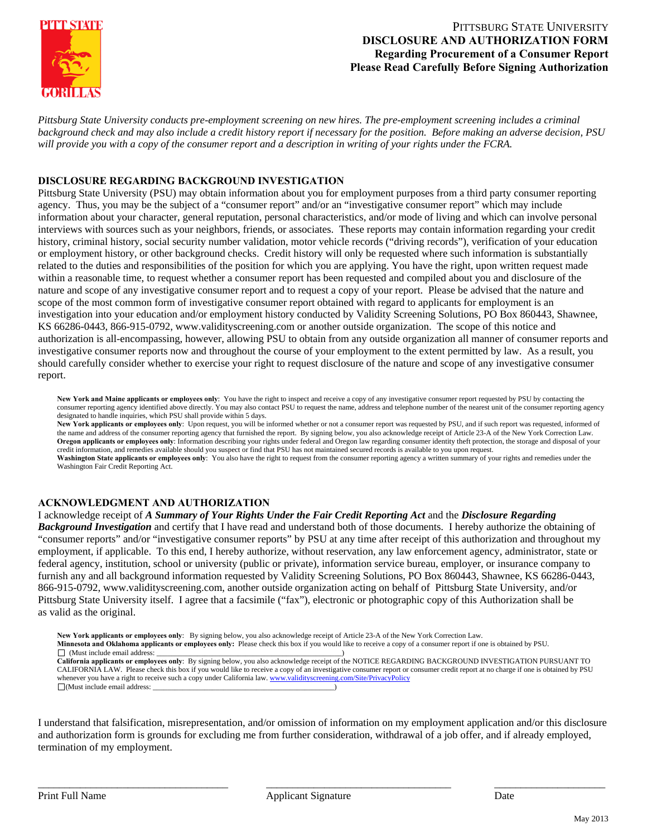

## PITTSBURG STATE UNIVERSITY **DISCLOSURE AND AUTHORIZATION FORM Regarding Procurement of a Consumer Report Please Read Carefully Before Signing Authorization**

*Pittsburg State University conducts pre-employment screening on new hires. The pre-employment screening includes a criminal background check and may also include a credit history report if necessary for the position. Before making an adverse decision, PSU will provide you with a copy of the consumer report and a description in writing of your rights under the FCRA.* 

#### **DISCLOSURE REGARDING BACKGROUND INVESTIGATION**

Pittsburg State University (PSU) may obtain information about you for employment purposes from a third party consumer reporting agency. Thus, you may be the subject of a "consumer report" and/or an "investigative consumer report" which may include information about your character, general reputation, personal characteristics, and/or mode of living and which can involve personal interviews with sources such as your neighbors, friends, or associates. These reports may contain information regarding your credit history, criminal history, social security number validation, motor vehicle records ("driving records"), verification of your education or employment history, or other background checks. Credit history will only be requested where such information is substantially related to the duties and responsibilities of the position for which you are applying. You have the right, upon written request made within a reasonable time, to request whether a consumer report has been requested and compiled about you and disclosure of the nature and scope of any investigative consumer report and to request a copy of your report. Please be advised that the nature and scope of the most common form of investigative consumer report obtained with regard to applicants for employment is an investigation into your education and/or employment history conducted by Validity Screening Solutions, PO Box 860443, Shawnee, KS 66286-0443, 866-915-0792, www.validityscreening.com or another outside organization. The scope of this notice and authorization is all-encompassing, however, allowing PSU to obtain from any outside organization all manner of consumer reports and investigative consumer reports now and throughout the course of your employment to the extent permitted by law. As a result, you should carefully consider whether to exercise your right to request disclosure of the nature and scope of any investigative consumer report.

**New York and Maine applicants or employees only**: You have the right to inspect and receive a copy of any investigative consumer report requested by PSU by contacting the consumer reporting agency identified above directly. You may also contact PSU to request the name, address and telephone number of the nearest unit of the consumer reporting agency designated to handle inquiries, which PSU shall provide within 5 days.

New York applicants or employees only: Upon request, you will be informed whether or not a consumer report was requested by PSU, and if such report was requested, informed of the name and address of the consumer reporting agency that furnished the report. By signing below, you also acknowledge receipt of Article 23-A of the New York Correction Law. **Oregon applicants or employees only**: Information describing your rights under federal and Oregon law regarding consumer identity theft protection, the storage and disposal of your credit information, and remedies available should you suspect or find that PSU has not maintained secured records is available to you upon request. **Washington State applicants or employees only**: You also have the right to request from the consumer reporting agency a written summary of your rights and remedies under the Washington Fair Credit Reporting Act.

#### **ACKNOWLEDGMENT AND AUTHORIZATION**

#### I acknowledge receipt of *A Summary of Your Rights Under the Fair Credit Reporting Act* and the *Disclosure Regarding*

*Background Investigation* and certify that I have read and understand both of those documents. I hereby authorize the obtaining of "consumer reports" and/or "investigative consumer reports" by PSU at any time after receipt of this authorization and throughout my employment, if applicable. To this end, I hereby authorize, without reservation, any law enforcement agency, administrator, state or federal agency, institution, school or university (public or private), information service bureau, employer, or insurance company to furnish any and all background information requested by Validity Screening Solutions, PO Box 860443, Shawnee, KS 66286-0443, 866-915-0792, www.validityscreening.com, another outside organization acting on behalf of Pittsburg State University, and/or Pittsburg State University itself. I agree that a facsimile ("fax"), electronic or photographic copy of this Authorization shall be as valid as the original.

**New York applicants or employees only**: By signing below, you also acknowledge receipt of Article 23-A of the New York Correction Law.

**Minnesota and Oklahoma applicants or employees only:** Please check this box if you would like to receive a copy of a consumer report if one is obtained by PSU.

- $\Box$  (Must include email address:
- **California applicants or employees only**: By signing below, you also acknowledge receipt of the NOTICE REGARDING BACKGROUND INVESTIGATION PURSUANT TO CALIFORNIA LAW. Please check this box if you would like to receive a copy of an investigative consumer report or consumer credit report at no charge if one is obtained by PSU whenever you have a right to receive such a copy under California law. www.validityscreening.com/Site/PrivacyPolicy  $\Box$ (Must include email address:

I understand that falsification, misrepresentation, and/or omission of information on my employment application and/or this disclosure and authorization form is grounds for excluding me from further consideration, withdrawal of a job offer, and if already employed, termination of my employment.

\_\_\_\_\_\_\_\_\_\_\_\_\_\_\_\_\_\_\_\_\_\_\_\_\_\_\_\_\_\_\_\_\_\_\_\_ \_\_\_\_\_\_\_\_\_\_\_\_\_\_\_\_\_\_\_\_\_\_\_\_\_\_\_\_\_\_\_\_\_\_\_ \_\_\_\_\_\_\_\_\_\_\_\_\_\_\_\_\_\_\_\_\_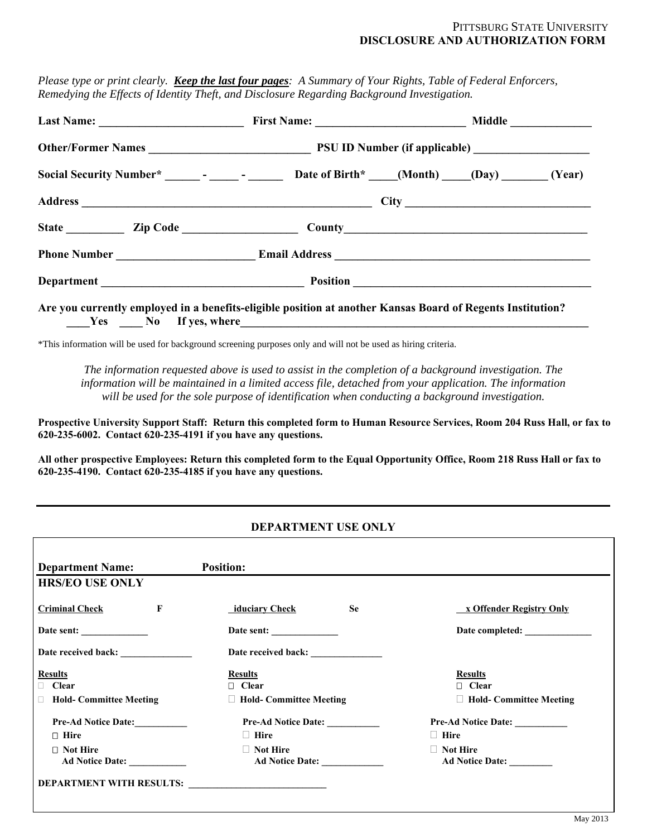### PITTSBURG STATE UNIVERSITY **DISCLOSURE AND AUTHORIZATION FORM**

*Please type or print clearly. Keep the last four pages: A Summary of Your Rights, Table of Federal Enforcers, Remedying the Effects of Identity Theft, and Disclosure Regarding Background Investigation.* 

|  |  | Social Security Number* ________ - _______ Date of Birth* ____(Month) ____(Day) ______(Year)               |  |  |  |
|--|--|------------------------------------------------------------------------------------------------------------|--|--|--|
|  |  |                                                                                                            |  |  |  |
|  |  |                                                                                                            |  |  |  |
|  |  |                                                                                                            |  |  |  |
|  |  |                                                                                                            |  |  |  |
|  |  | Are you currently employed in a benefits-eligible position at another Kansas Board of Regents Institution? |  |  |  |

**Tes** No If yes, where

\*This information will be used for background screening purposes only and will not be used as hiring criteria.

*The information requested above is used to assist in the completion of a background investigation. The information will be maintained in a limited access file, detached from your application. The information will be used for the sole purpose of identification when conducting a background investigation.* 

**Prospective University Support Staff: Return this completed form to Human Resource Services, Room 204 Russ Hall, or fax to 620-235-6002. Contact 620-235-4191 if you have any questions.** 

**All other prospective Employees: Return this completed form to the Equal Opportunity Office, Room 218 Russ Hall or fax to 620-235-4190. Contact 620-235-4185 if you have any questions.** 

### **DEPARTMENT USE ONLY**

| <b>Department Name:</b>       | <b>Position:</b>               |                                |  |  |
|-------------------------------|--------------------------------|--------------------------------|--|--|
| <b>HRS/EO USE ONLY</b>        |                                |                                |  |  |
| F<br><b>Criminal Check</b>    | iduciary Check<br><b>Se</b>    | x Offender Registry Only       |  |  |
| Date sent:                    | Date sent:                     | Date completed:                |  |  |
| Date received back:           | Date received back:            |                                |  |  |
| <b>Results</b>                | <b>Results</b>                 | <b>Results</b>                 |  |  |
| $\Box$ Clear                  | $\Box$ Clear                   | $\Box$ Clear                   |  |  |
| <b>Hold-Committee Meeting</b> | $\Box$ Hold- Committee Meeting | $\Box$ Hold- Committee Meeting |  |  |
| <b>Pre-Ad Notice Date:</b>    | Pre-Ad Notice Date:            | <b>Pre-Ad Notice Date:</b>     |  |  |
| $\Box$ Hire                   | $\Box$ Hire                    | $\Box$ Hire                    |  |  |
| $\Box$ Not Hire               | $\Box$ Not Hire                | $\Box$ Not Hire                |  |  |
| Ad Notice Date:               | Ad Notice Date: _____________  | Ad Notice Date:                |  |  |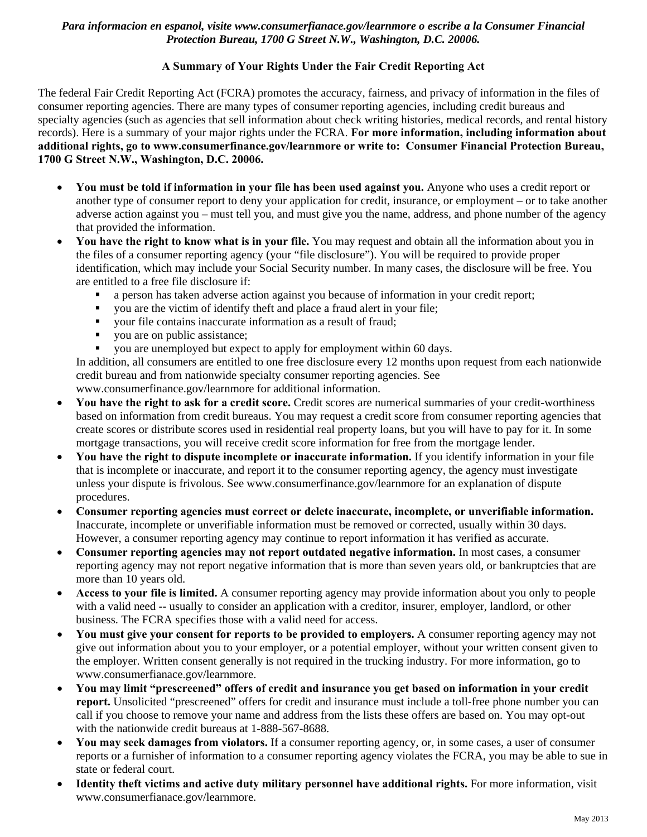## *Para informacion en espanol, visite www.consumerfianace.gov/learnmore o escribe a la Consumer Financial Protection Bureau, 1700 G Street N.W., Washington, D.C. 20006.*

# **A Summary of Your Rights Under the Fair Credit Reporting Act**

The federal Fair Credit Reporting Act (FCRA) promotes the accuracy, fairness, and privacy of information in the files of consumer reporting agencies. There are many types of consumer reporting agencies, including credit bureaus and specialty agencies (such as agencies that sell information about check writing histories, medical records, and rental history records). Here is a summary of your major rights under the FCRA. **For more information, including information about additional rights, go to www.consumerfinance.gov/learnmore or write to: Consumer Financial Protection Bureau, 1700 G Street N.W., Washington, D.C. 20006.** 

- **You must be told if information in your file has been used against you.** Anyone who uses a credit report or another type of consumer report to deny your application for credit, insurance, or employment – or to take another adverse action against you – must tell you, and must give you the name, address, and phone number of the agency that provided the information.
- **You have the right to know what is in your file.** You may request and obtain all the information about you in the files of a consumer reporting agency (your "file disclosure"). You will be required to provide proper identification, which may include your Social Security number. In many cases, the disclosure will be free. You are entitled to a free file disclosure if:
	- a person has taken adverse action against you because of information in your credit report;
	- you are the victim of identify theft and place a fraud alert in your file;
	- your file contains inaccurate information as a result of fraud;
	- vou are on public assistance;
	- vou are unemployed but expect to apply for employment within 60 days.

In addition, all consumers are entitled to one free disclosure every 12 months upon request from each nationwide credit bureau and from nationwide specialty consumer reporting agencies. See www.consumerfinance.gov/learnmore for additional information.

- **You have the right to ask for a credit score.** Credit scores are numerical summaries of your credit-worthiness based on information from credit bureaus. You may request a credit score from consumer reporting agencies that create scores or distribute scores used in residential real property loans, but you will have to pay for it. In some mortgage transactions, you will receive credit score information for free from the mortgage lender.
- **You have the right to dispute incomplete or inaccurate information.** If you identify information in your file that is incomplete or inaccurate, and report it to the consumer reporting agency, the agency must investigate unless your dispute is frivolous. See www.consumerfinance.gov/learnmore for an explanation of dispute procedures.
- **Consumer reporting agencies must correct or delete inaccurate, incomplete, or unverifiable information.**  Inaccurate, incomplete or unverifiable information must be removed or corrected, usually within 30 days. However, a consumer reporting agency may continue to report information it has verified as accurate.
- **Consumer reporting agencies may not report outdated negative information.** In most cases, a consumer reporting agency may not report negative information that is more than seven years old, or bankruptcies that are more than 10 years old.
- **Access to your file is limited.** A consumer reporting agency may provide information about you only to people with a valid need -- usually to consider an application with a creditor, insurer, employer, landlord, or other business. The FCRA specifies those with a valid need for access.
- **You must give your consent for reports to be provided to employers.** A consumer reporting agency may not give out information about you to your employer, or a potential employer, without your written consent given to the employer. Written consent generally is not required in the trucking industry. For more information, go to www.consumerfianace.gov/learnmore.
- **You may limit "prescreened" offers of credit and insurance you get based on information in your credit report.** Unsolicited "prescreened" offers for credit and insurance must include a toll-free phone number you can call if you choose to remove your name and address from the lists these offers are based on. You may opt-out with the nationwide credit bureaus at 1-888-567-8688.
- **You may seek damages from violators.** If a consumer reporting agency, or, in some cases, a user of consumer reports or a furnisher of information to a consumer reporting agency violates the FCRA, you may be able to sue in state or federal court.
- **Identity theft victims and active duty military personnel have additional rights.** For more information, visit www.consumerfianace.gov/learnmore.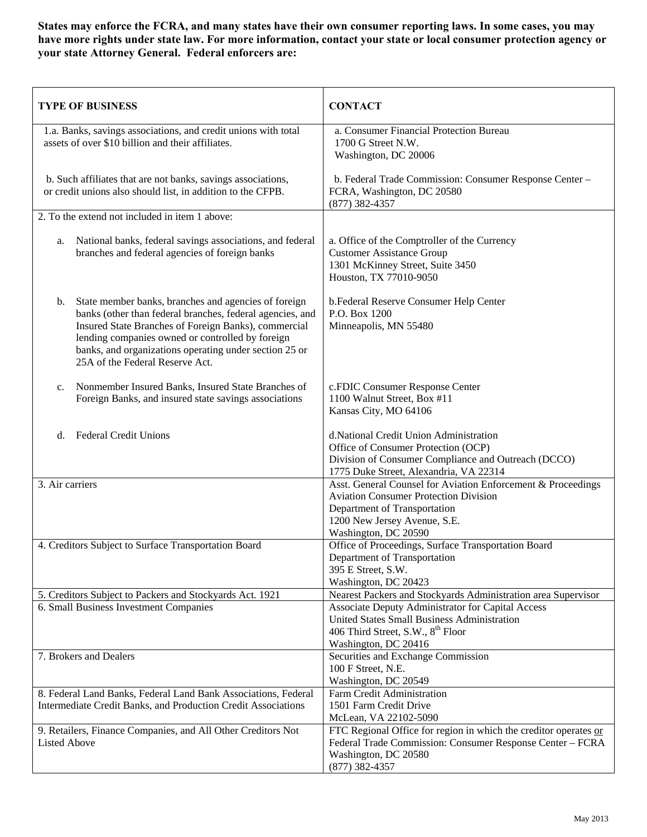**States may enforce the FCRA, and many states have their own consumer reporting laws. In some cases, you may have more rights under state law. For more information, contact your state or local consumer protection agency or your state Attorney General. Federal enforcers are:** 

| <b>TYPE OF BUSINESS</b>                                                                                                                                                                                                                                                                                                          | <b>CONTACT</b>                                                                                                                                                                                                                             |  |
|----------------------------------------------------------------------------------------------------------------------------------------------------------------------------------------------------------------------------------------------------------------------------------------------------------------------------------|--------------------------------------------------------------------------------------------------------------------------------------------------------------------------------------------------------------------------------------------|--|
| 1.a. Banks, savings associations, and credit unions with total<br>assets of over \$10 billion and their affiliates.                                                                                                                                                                                                              | a. Consumer Financial Protection Bureau<br>1700 G Street N.W.<br>Washington, DC 20006                                                                                                                                                      |  |
| b. Such affiliates that are not banks, savings associations,<br>or credit unions also should list, in addition to the CFPB.                                                                                                                                                                                                      | b. Federal Trade Commission: Consumer Response Center -<br>FCRA, Washington, DC 20580<br>$(877)$ 382-4357                                                                                                                                  |  |
| 2. To the extend not included in item 1 above:                                                                                                                                                                                                                                                                                   |                                                                                                                                                                                                                                            |  |
| National banks, federal savings associations, and federal<br>a.<br>branches and federal agencies of foreign banks                                                                                                                                                                                                                | a. Office of the Comptroller of the Currency<br><b>Customer Assistance Group</b><br>1301 McKinney Street, Suite 3450<br>Houston, TX 77010-9050                                                                                             |  |
| State member banks, branches and agencies of foreign<br>b.<br>banks (other than federal branches, federal agencies, and<br>Insured State Branches of Foreign Banks), commercial<br>lending companies owned or controlled by foreign<br>banks, and organizations operating under section 25 or<br>25A of the Federal Reserve Act. | b.Federal Reserve Consumer Help Center<br>P.O. Box 1200<br>Minneapolis, MN 55480                                                                                                                                                           |  |
| Nonmember Insured Banks, Insured State Branches of<br>c.<br>Foreign Banks, and insured state savings associations                                                                                                                                                                                                                | c.FDIC Consumer Response Center<br>1100 Walnut Street, Box #11<br>Kansas City, MO 64106                                                                                                                                                    |  |
| <b>Federal Credit Unions</b><br>d.                                                                                                                                                                                                                                                                                               | d.National Credit Union Administration<br>Office of Consumer Protection (OCP)<br>Division of Consumer Compliance and Outreach (DCCO)<br>1775 Duke Street, Alexandria, VA 22314                                                             |  |
| 3. Air carriers                                                                                                                                                                                                                                                                                                                  | Asst. General Counsel for Aviation Enforcement & Proceedings<br><b>Aviation Consumer Protection Division</b><br>Department of Transportation<br>1200 New Jersey Avenue, S.E.<br>Washington, DC 20590                                       |  |
| 4. Creditors Subject to Surface Transportation Board                                                                                                                                                                                                                                                                             | Office of Proceedings, Surface Transportation Board<br>Department of Transportation<br>395 E Street, S.W.<br>Washington, DC 20423                                                                                                          |  |
| 5. Creditors Subject to Packers and Stockyards Act. 1921<br>6. Small Business Investment Companies                                                                                                                                                                                                                               | Nearest Packers and Stockyards Administration area Supervisor<br>Associate Deputy Administrator for Capital Access<br>United States Small Business Administration<br>406 Third Street, S.W., 8 <sup>th</sup> Floor<br>Washington, DC 20416 |  |
| 7. Brokers and Dealers                                                                                                                                                                                                                                                                                                           | Securities and Exchange Commission<br>100 F Street, N.E.<br>Washington, DC 20549                                                                                                                                                           |  |
| 8. Federal Land Banks, Federal Land Bank Associations, Federal<br>Intermediate Credit Banks, and Production Credit Associations                                                                                                                                                                                                  | Farm Credit Administration<br>1501 Farm Credit Drive<br>McLean, VA 22102-5090                                                                                                                                                              |  |
| 9. Retailers, Finance Companies, and All Other Creditors Not<br><b>Listed Above</b>                                                                                                                                                                                                                                              | FTC Regional Office for region in which the creditor operates or<br>Federal Trade Commission: Consumer Response Center - FCRA<br>Washington, DC 20580<br>$(877)$ 382-4357                                                                  |  |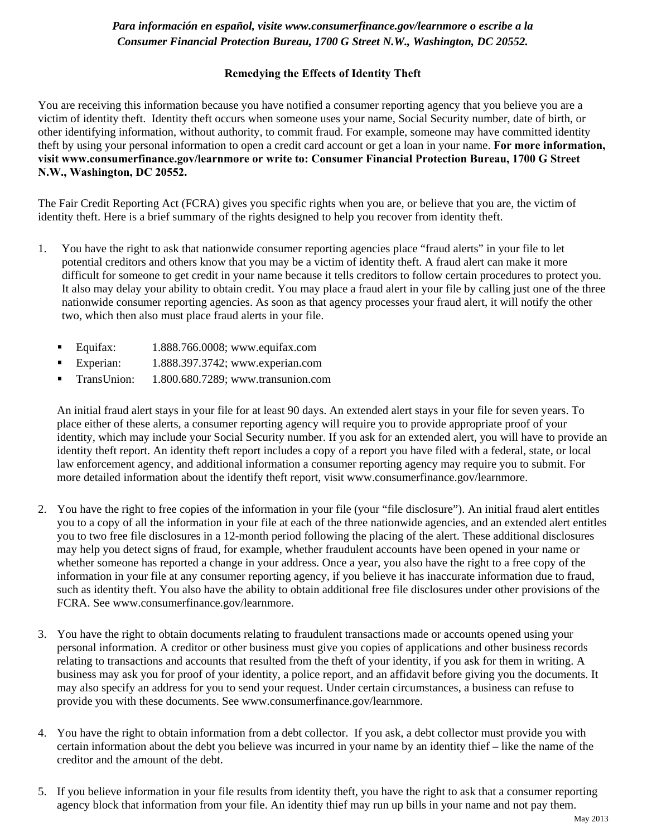# *Para información en español, visite www.consumerfinance.gov/learnmore o escribe a la Consumer Financial Protection Bureau, 1700 G Street N.W., Washington, DC 20552.*

# **Remedying the Effects of Identity Theft**

You are receiving this information because you have notified a consumer reporting agency that you believe you are a victim of identity theft. Identity theft occurs when someone uses your name, Social Security number, date of birth, or other identifying information, without authority, to commit fraud. For example, someone may have committed identity theft by using your personal information to open a credit card account or get a loan in your name. **For more information, visit www.consumerfinance.gov/learnmore or write to: Consumer Financial Protection Bureau, 1700 G Street N.W., Washington, DC 20552.** 

The Fair Credit Reporting Act (FCRA) gives you specific rights when you are, or believe that you are, the victim of identity theft. Here is a brief summary of the rights designed to help you recover from identity theft.

- 1. You have the right to ask that nationwide consumer reporting agencies place "fraud alerts" in your file to let potential creditors and others know that you may be a victim of identity theft. A fraud alert can make it more difficult for someone to get credit in your name because it tells creditors to follow certain procedures to protect you. It also may delay your ability to obtain credit. You may place a fraud alert in your file by calling just one of the three nationwide consumer reporting agencies. As soon as that agency processes your fraud alert, it will notify the other two, which then also must place fraud alerts in your file.
	- Equifax: 1.888.766.0008; www.equifax.com
	- Experian: 1.888.397.3742; www.experian.com
	- TransUnion: 1.800.680.7289; www.transunion.com

An initial fraud alert stays in your file for at least 90 days. An extended alert stays in your file for seven years. To place either of these alerts, a consumer reporting agency will require you to provide appropriate proof of your identity, which may include your Social Security number. If you ask for an extended alert, you will have to provide an identity theft report. An identity theft report includes a copy of a report you have filed with a federal, state, or local law enforcement agency, and additional information a consumer reporting agency may require you to submit. For more detailed information about the identify theft report, visit www.consumerfinance.gov/learnmore.

- 2. You have the right to free copies of the information in your file (your "file disclosure"). An initial fraud alert entitles you to a copy of all the information in your file at each of the three nationwide agencies, and an extended alert entitles you to two free file disclosures in a 12-month period following the placing of the alert. These additional disclosures may help you detect signs of fraud, for example, whether fraudulent accounts have been opened in your name or whether someone has reported a change in your address. Once a year, you also have the right to a free copy of the information in your file at any consumer reporting agency, if you believe it has inaccurate information due to fraud, such as identity theft. You also have the ability to obtain additional free file disclosures under other provisions of the FCRA. See www.consumerfinance.gov/learnmore.
- 3. You have the right to obtain documents relating to fraudulent transactions made or accounts opened using your personal information. A creditor or other business must give you copies of applications and other business records relating to transactions and accounts that resulted from the theft of your identity, if you ask for them in writing. A business may ask you for proof of your identity, a police report, and an affidavit before giving you the documents. It may also specify an address for you to send your request. Under certain circumstances, a business can refuse to provide you with these documents. See www.consumerfinance.gov/learnmore.
- 4. You have the right to obtain information from a debt collector. If you ask, a debt collector must provide you with certain information about the debt you believe was incurred in your name by an identity thief – like the name of the creditor and the amount of the debt.
- 5. If you believe information in your file results from identity theft, you have the right to ask that a consumer reporting agency block that information from your file. An identity thief may run up bills in your name and not pay them.